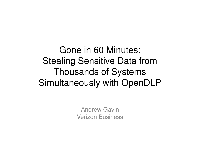#### Gone in 60 Minutes:Stealing Sensitive Data from Thousands of Systems Simultaneously with OpenDLP

Andrew GavinVerizon Business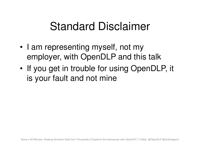# Standard Disclaimer

- • I am representing myself, not my employer, with OpenDLP and this talk
- •If you get in trouble for using OpenDLP, it is your fault and not mine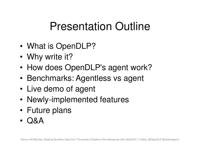# Presentation Outline

- •What is OpenDLP?
- •Why write it?
- •How does OpenDLP's agent work?
- •Benchmarks: Agentless vs agent
- •Live demo of agent
- •Newly-implemented features
- •Future plans
- •Q&A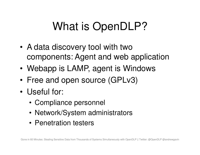# What is OpenDLP?

- • A data discovery tool with two components: Agent and web application
- •Webapp is LAMP, agent is Windows
- •• Free and open source (GPLv3)
- • Useful for:
	- Compliance personnel
	- Network/System administrators
	- Penetration testers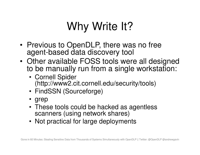# Why Write It?

- • Previous to OpenDLP, there was no free agent-based data discovery tool
- • Other available FOSS tools were all designed to be manually run from a single workstation:
	- Cornell Spider (http://www2.cit.cornell.edu/security/tools)
	- FindSSN (Sourceforge)
	- grep
	- These tools could be hacked as agentlessscanners (using network shares)
	- Not practical for large deployments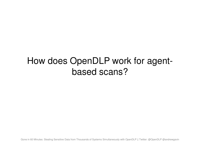#### How does OpenDLP work for agentbased scans?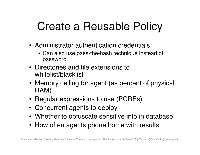# Create a Reusable Policy

- Administrator authentication credentials
	- Can also use pass-the-hash technique instead of password
- Directories and file extensions to whitelist/blacklist
- Memory ceiling for agent (as percent of physical RAM)
- Regular expressions to use (PCREs)
- Concurrent agents to deploy
- Whether to obfuscate sensitive info in database
- How often agents phone home with results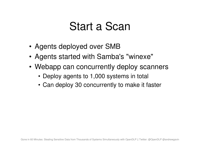## Start a Scan

- Agents deployed over SMB
- Agents started with Samba's "winexe"
- Webapp can concurrently deploy scanners
	- Deploy agents to 1,000 systems in total
	- Can deploy 30 concurrently to make it faster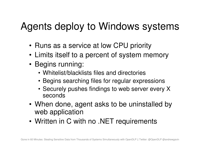## Agents deploy to Windows systems

- Runs as a service at low CPU priority
- Limits itself to a percent of system memory
- Begins running:
	- Whitelist/blacklists files and directories
	- Begins searching files for regular expressions
	- Securely pushes findings to web server every X seconds
- When done, agent asks to be uninstalled by web application
- Written in C with no .NET requirements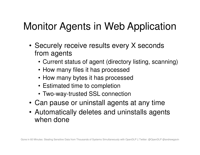## Monitor Agents in Web Application

- Securely receive results every X seconds from agents
	- Current status of agent (directory listing, scanning)
	- How many files it has processed
	- How many bytes it has processed
	- Estimated time to completion
	- Two-way-trusted SSL connection
- Can pause or uninstall agents at any time
- Automatically deletes and uninstalls agents when done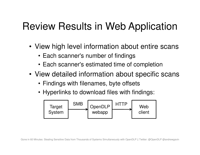### Review Results in Web Application

- View high level information about entire scans
	- Each scanner's number of findings
	- Each scanner's estimated time of completion
- View detailed information about specific scans
	- Findings with filenames, byte offsets
	- Hyperlinks to download files with findings:

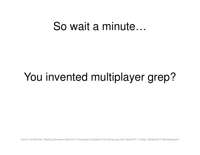#### So wait a minute…

# You invented multiplayer grep?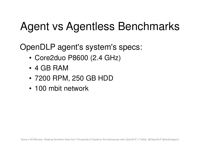# Agent vs Agentless Benchmarks

OpenDLP agent's system's specs:

- Core2duo P8600 (2.4 GHz)
- 4 GB RAM
- 7200 RPM, 250 GB HDD
- 100 mbit network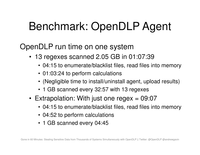# Benchmark: OpenDLP Agent

OpenDLP run time on one system

- 13 regexes scanned 2.05 GB in 01:07:39
	- 04:15 to enumerate/blacklist files, read files into memory
	- 01:03:24 to perform calculations
	- (Negligible time to install/uninstall agent, upload results)
	- 1 GB scanned every 32:57 with 13 regexes
- Extrapolation: With just one regex = 09:07  $\,$ 
	- 04:15 to enumerate/blacklist files, read files into memory
	- 04:52 to perform calculations
	- 1 GB scanned every 04:45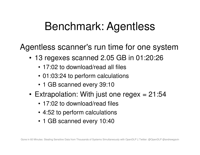## Benchmark: Agentless

Agentless scanner's run time for one system

- 13 regexes scanned 2.05 GB in 01:20:26
	- 17:02 to download/read all files
	- 01:03:24 to perform calculations
	- 1 GB scanned every 39:10
- Extrapolation: With just one regex = 21:54
	- 17:02 to download/read files
	- 4:52 to perform calculations
	- 1 GB scanned every 10:40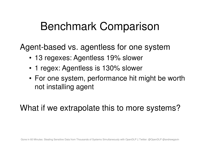## Benchmark Comparison

Agent-based vs. agentless for one system

- 13 regexes: Agentless 19% slower
- 1 regex: Agentless is 130% slower
- For one system, performance hit might be worth not installing agent

What if we extrapolate this to more systems?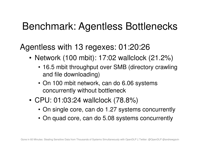### Benchmark: Agentless Bottlenecks

Agentless with 13 regexes: 01:20:26

- Network (100 mbit): 17:02 wallclock (21.2%)
	- 16.5 mbit throughput over SMB (directory crawling and file downloading)
	- On 100 mbit network, can do 6.06 systems concurrently without bottleneck
- CPU: 01:03:24 wallclock (78.8%)
	- On single core, can do 1.27 systems concurrently
	- On quad core, can do 5.08 systems concurrently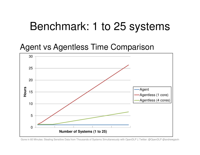## Benchmark: 1 to 25 systems

#### Agent vs Agentless Time Comparison

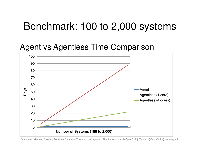#### Benchmark: 100 to 2,000 systems

#### Agent vs Agentless Time Comparison



Gone in 60 Minutes: Stealing Sensitive Data from Thousands of Systems Simultaneously with OpenDLP || Twitter: @OpenDLP @andrewgavin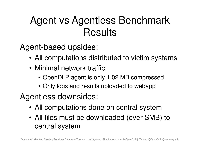## Agent vs Agentless Benchmark **Results**

Agent-based upsides:

- All computations distributed to victim systems
- Minimal network traffic
	- OpenDLP agent is only 1.02 MB compressed
	- Only logs and results uploaded to webapp

Agentless downsides:

- All computations done on central system
- All files must be downloaded (over SMB) to central system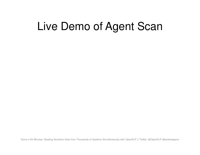# Live Demo of Agent Scan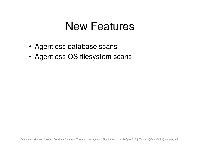## New Features

- Agentless database scans
- Agentless OS filesystem scans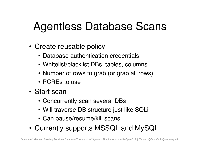# Agentless Database Scans

- Create reusable policy
	- Database authentication credentials
	- Whitelist/blacklist DBs, tables, columns
	- Number of rows to grab (or grab all rows)
	- PCREs to use
- Start scan
	- Concurrently scan several DBs
	- Will traverse DB structure just like SQLi
	- Can pause/resume/kill scans
- Currently supports MSSQL and MySQL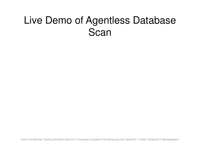### Live Demo of Agentless Database **Scan**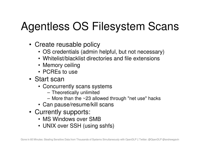# Agentless OS Filesystem Scans

- Create reusable policy
	- OS credentials (admin helpful, but not necessary)
	- Whitelist/blacklist directories and file extensions
	- Memory ceiling
	- PCREs to use
- Start scan
	- Concurrently scans systems
		- Theoretically unlimited
		- More than the ~23 allowed through "net use" hacks
	- Can pause/resume/kill scans
- Currently supports:
	- MS Windows over SMB
	- UNIX over SSH (using sshfs)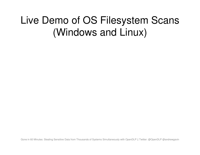## Live Demo of OS Filesystem Scans (Windows and Linux)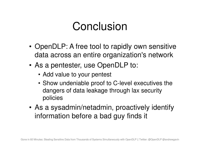# Conclusion

- OpenDLP: A free tool to rapidly own sensitive data across an entire organization's network
- As a pentester, use OpenDLP to:
	- Add value to your pentest
	- Show undeniable proof to C-level executives the dangers of data leakage through lax security policies
- As a sysadmin/netadmin, proactively identify information before a bad guy finds it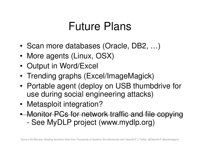## Future Plans

- •Scan more databases (Oracle, DB2, …)
- •More agents (Linux, OSX)
- •Output in Word/Excel
- Trending graphs (Excel/ImageMagick)
- • Portable agent (deploy on USB thumbdrive for use during social engineering attacks)
- •Metasploit integration?
- • Monitor PCs for network traffic and file copying-See MyDLP project (www.mydlp.org)